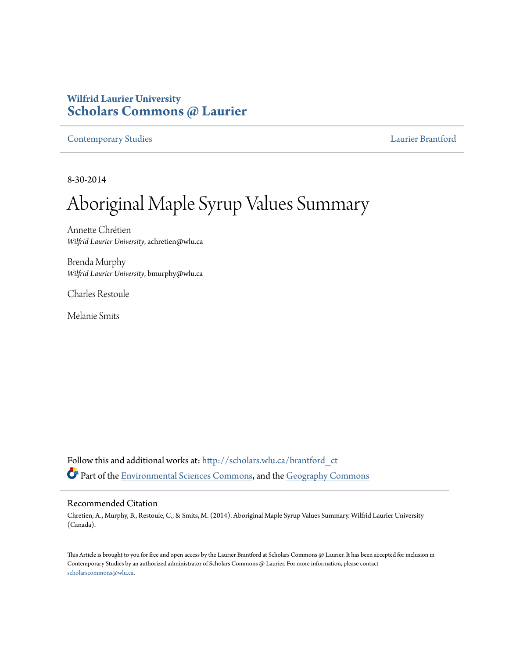# **Wilfrid Laurier University [Scholars Commons @ Laurier](http://scholars.wlu.ca?utm_source=scholars.wlu.ca%2Fbrantford_ct%2F6&utm_medium=PDF&utm_campaign=PDFCoverPages)**

[Contemporary Studies](http://scholars.wlu.ca/brantford_ct?utm_source=scholars.wlu.ca%2Fbrantford_ct%2F6&utm_medium=PDF&utm_campaign=PDFCoverPages) [Laurier Brantford](http://scholars.wlu.ca/brantford?utm_source=scholars.wlu.ca%2Fbrantford_ct%2F6&utm_medium=PDF&utm_campaign=PDFCoverPages)

8-30-2014

# Aboriginal Maple Syrup Values Summary

Annette Chrétien *Wilfrid Laurier University*, achretien@wlu.ca

Brenda Murphy *Wilfrid Laurier University*, bmurphy@wlu.ca

Charles Restoule

Melanie Smits

Follow this and additional works at: [http://scholars.wlu.ca/brantford\\_ct](http://scholars.wlu.ca/brantford_ct?utm_source=scholars.wlu.ca%2Fbrantford_ct%2F6&utm_medium=PDF&utm_campaign=PDFCoverPages) Part of the [Environmental Sciences Commons,](http://network.bepress.com/hgg/discipline/167?utm_source=scholars.wlu.ca%2Fbrantford_ct%2F6&utm_medium=PDF&utm_campaign=PDFCoverPages) and the [Geography Commons](http://network.bepress.com/hgg/discipline/354?utm_source=scholars.wlu.ca%2Fbrantford_ct%2F6&utm_medium=PDF&utm_campaign=PDFCoverPages)

#### Recommended Citation

Chretien, A., Murphy, B., Restoule, C., & Smits, M. (2014). Aboriginal Maple Syrup Values Summary. Wilfrid Laurier University (Canada).

This Article is brought to you for free and open access by the Laurier Brantford at Scholars Commons @ Laurier. It has been accepted for inclusion in Contemporary Studies by an authorized administrator of Scholars Commons @ Laurier. For more information, please contact [scholarscommons@wlu.ca.](mailto:scholarscommons@wlu.ca)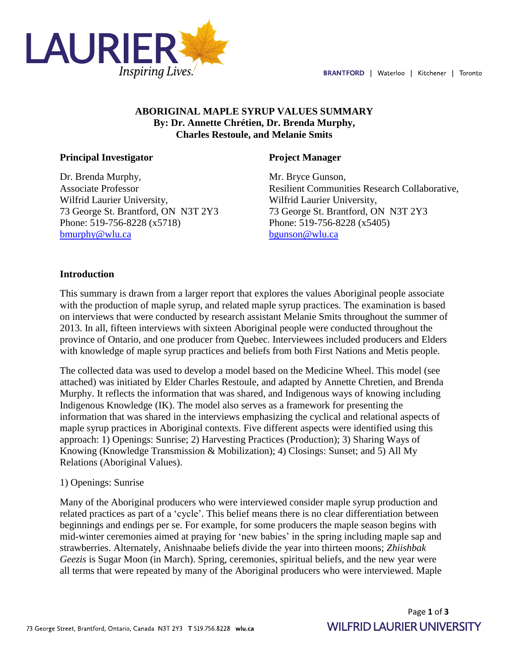

## **ABORIGINAL MAPLE SYRUP VALUES SUMMARY By: Dr. Annette Chrétien, Dr. Brenda Murphy, Charles Restoule, and Melanie Smits**

#### **Principal Investigator**

Dr. Brenda Murphy, Associate Professor Wilfrid Laurier University, 73 George St. Brantford, ON N3T 2Y3 Phone: 519-756-8228 (x5718) [bmurphy@wlu.ca](mailto:bmurphy@wlu.ca)

#### **Project Manager**

Mr. Bryce Gunson, Resilient Communities Research Collaborative, Wilfrid Laurier University, 73 George St. Brantford, ON N3T 2Y3 Phone: 519-756-8228 (x5405) [bgunson@wlu.ca](mailto:bgunson@wlu.ca)

#### **Introduction**

This summary is drawn from a larger report that explores the values Aboriginal people associate with the production of maple syrup, and related maple syrup practices. The examination is based on interviews that were conducted by research assistant Melanie Smits throughout the summer of 2013. In all, fifteen interviews with sixteen Aboriginal people were conducted throughout the province of Ontario, and one producer from Quebec. Interviewees included producers and Elders with knowledge of maple syrup practices and beliefs from both First Nations and Metis people.

The collected data was used to develop a model based on the Medicine Wheel. This model (see attached) was initiated by Elder Charles Restoule, and adapted by Annette Chretien, and Brenda Murphy. It reflects the information that was shared, and Indigenous ways of knowing including Indigenous Knowledge (IK). The model also serves as a framework for presenting the information that was shared in the interviews emphasizing the cyclical and relational aspects of maple syrup practices in Aboriginal contexts. Five different aspects were identified using this approach: 1) Openings: Sunrise; 2) Harvesting Practices (Production); 3) Sharing Ways of Knowing (Knowledge Transmission & Mobilization); 4) Closings: Sunset; and 5) All My Relations (Aboriginal Values).

#### 1) Openings: Sunrise

Many of the Aboriginal producers who were interviewed consider maple syrup production and related practices as part of a 'cycle'. This belief means there is no clear differentiation between beginnings and endings per se. For example, for some producers the maple season begins with mid-winter ceremonies aimed at praying for 'new babies' in the spring including maple sap and strawberries. Alternately, Anishnaabe beliefs divide the year into thirteen moons; *Zhiishbak Geezis* is Sugar Moon (in March). Spring, ceremonies, spiritual beliefs, and the new year were all terms that were repeated by many of the Aboriginal producers who were interviewed. Maple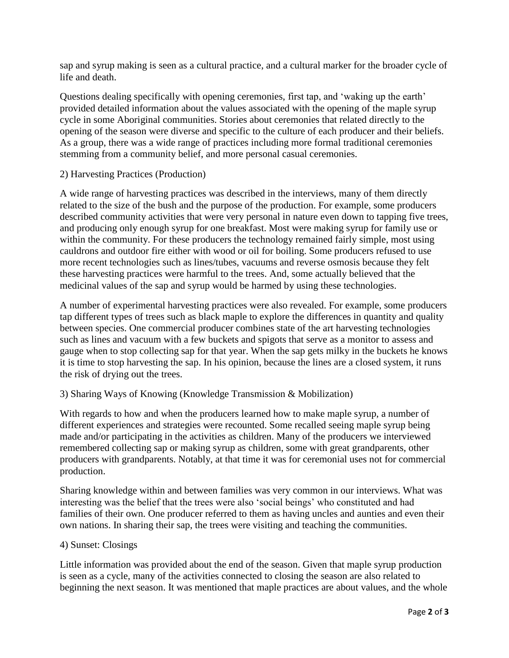sap and syrup making is seen as a cultural practice, and a cultural marker for the broader cycle of life and death.

Questions dealing specifically with opening ceremonies, first tap, and 'waking up the earth' provided detailed information about the values associated with the opening of the maple syrup cycle in some Aboriginal communities. Stories about ceremonies that related directly to the opening of the season were diverse and specific to the culture of each producer and their beliefs. As a group, there was a wide range of practices including more formal traditional ceremonies stemming from a community belief, and more personal casual ceremonies.

#### 2) Harvesting Practices (Production)

A wide range of harvesting practices was described in the interviews, many of them directly related to the size of the bush and the purpose of the production. For example, some producers described community activities that were very personal in nature even down to tapping five trees, and producing only enough syrup for one breakfast. Most were making syrup for family use or within the community. For these producers the technology remained fairly simple, most using cauldrons and outdoor fire either with wood or oil for boiling. Some producers refused to use more recent technologies such as lines/tubes, vacuums and reverse osmosis because they felt these harvesting practices were harmful to the trees. And, some actually believed that the medicinal values of the sap and syrup would be harmed by using these technologies.

A number of experimental harvesting practices were also revealed. For example, some producers tap different types of trees such as black maple to explore the differences in quantity and quality between species. One commercial producer combines state of the art harvesting technologies such as lines and vacuum with a few buckets and spigots that serve as a monitor to assess and gauge when to stop collecting sap for that year. When the sap gets milky in the buckets he knows it is time to stop harvesting the sap. In his opinion, because the lines are a closed system, it runs the risk of drying out the trees.

#### 3) Sharing Ways of Knowing (Knowledge Transmission & Mobilization)

With regards to how and when the producers learned how to make maple syrup, a number of different experiences and strategies were recounted. Some recalled seeing maple syrup being made and/or participating in the activities as children. Many of the producers we interviewed remembered collecting sap or making syrup as children, some with great grandparents, other producers with grandparents. Notably, at that time it was for ceremonial uses not for commercial production.

Sharing knowledge within and between families was very common in our interviews. What was interesting was the belief that the trees were also 'social beings' who constituted and had families of their own. One producer referred to them as having uncles and aunties and even their own nations. In sharing their sap, the trees were visiting and teaching the communities.

#### 4) Sunset: Closings

Little information was provided about the end of the season. Given that maple syrup production is seen as a cycle, many of the activities connected to closing the season are also related to beginning the next season. It was mentioned that maple practices are about values, and the whole